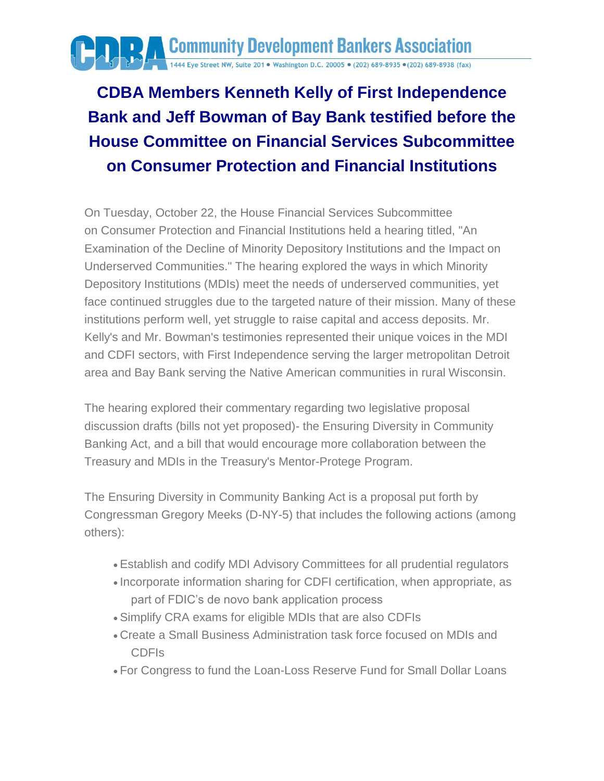

## **CDBA Members Kenneth Kelly of First Independence Bank and Jeff Bowman of Bay Bank testified before the House Committee on Financial Services Subcommittee on Consumer Protection and Financial Institutions**

On Tuesday, October 22, the House Financial Services Subcommittee on Consumer Protection and Financial Institutions held a hearing titled, "An Examination of the Decline of Minority Depository Institutions and the Impact on Underserved Communities." The hearing explored the ways in which Minority Depository Institutions (MDIs) meet the needs of underserved communities, yet face continued struggles due to the targeted nature of their mission. Many of these institutions perform well, yet struggle to raise capital and access deposits. Mr. Kelly's and Mr. Bowman's testimonies represented their unique voices in the MDI and CDFI sectors, with First Independence serving the larger metropolitan Detroit area and Bay Bank serving the Native American communities in rural Wisconsin.

The hearing explored their commentary regarding two legislative proposal discussion drafts (bills not yet proposed)- the Ensuring Diversity in Community Banking Act, and a bill that would encourage more collaboration between the Treasury and MDIs in the Treasury's Mentor-Protege Program.

The Ensuring Diversity in Community Banking Act is a proposal put forth by Congressman Gregory Meeks (D-NY-5) that includes the following actions (among others):

- Establish and codify MDI Advisory Committees for all prudential regulators
- Incorporate information sharing for CDFI certification, when appropriate, as part of FDIC's de novo bank application process
- Simplify CRA exams for eligible MDIs that are also CDFIs
- Create a Small Business Administration task force focused on MDIs and CDFIs
- For Congress to fund the Loan-Loss Reserve Fund for Small Dollar Loans